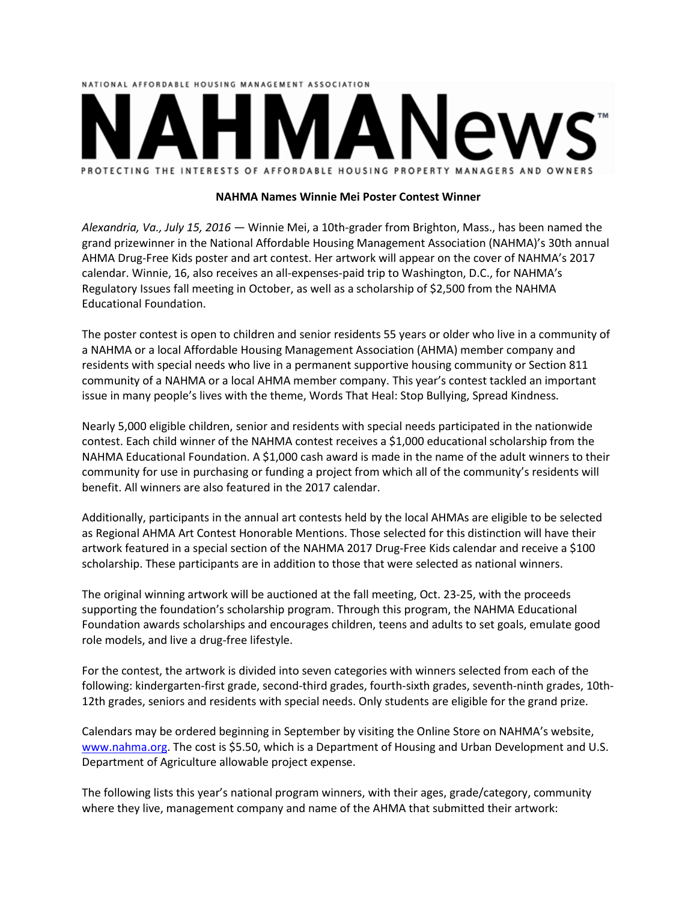# NATIONAL AFFORDABLE HOUSING MANAGEMENT ASSOCIATION PROTECTING THE INTERESTS OF AFFORDABLE HOUSING PROPERTY MANAGERS AND OWNERS

## **NAHMA Names Winnie Mei Poster Contest Winner**

*Alexandria, Va., July 15, 2016 ―* Winnie Mei, a 10th-grader from Brighton, Mass., has been named the grand prizewinner in the National Affordable Housing Management Association (NAHMA)'s 30th annual AHMA Drug-Free Kids poster and art contest. Her artwork will appear on the cover of NAHMA's 2017 calendar. Winnie, 16, also receives an all-expenses-paid trip to Washington, D.C., for NAHMA's Regulatory Issues fall meeting in October, as well as a scholarship of \$2,500 from the NAHMA Educational Foundation.

The poster contest is open to children and senior residents 55 years or older who live in a community of a NAHMA or a local Affordable Housing Management Association (AHMA) member company and residents with special needs who live in a permanent supportive housing community or Section 811 community of a NAHMA or a local AHMA member company. This year's contest tackled an important issue in many people's lives with the theme, Words That Heal: Stop Bullying, Spread Kindness*.*

Nearly 5,000 eligible children, senior and residents with special needs participated in the nationwide contest. Each child winner of the NAHMA contest receives a \$1,000 educational scholarship from the NAHMA Educational Foundation. A \$1,000 cash award is made in the name of the adult winners to their community for use in purchasing or funding a project from which all of the community's residents will benefit. All winners are also featured in the 2017 calendar.

Additionally, participants in the annual art contests held by the local AHMAs are eligible to be selected as Regional AHMA Art Contest Honorable Mentions. Those selected for this distinction will have their artwork featured in a special section of the NAHMA 2017 Drug-Free Kids calendar and receive a \$100 scholarship. These participants are in addition to those that were selected as national winners.

The original winning artwork will be auctioned at the fall meeting, Oct. 23-25, with the proceeds supporting the foundation's scholarship program. Through this program, the NAHMA Educational Foundation awards scholarships and encourages children, teens and adults to set goals, emulate good role models, and live a drug-free lifestyle.

For the contest, the artwork is divided into seven categories with winners selected from each of the following: kindergarten-first grade, second-third grades, fourth-sixth grades, seventh-ninth grades, 10th-12th grades, seniors and residents with special needs. Only students are eligible for the grand prize.

Calendars may be ordered beginning in September by visiting the Online Store on NAHMA's website, [www.nahma.org.](http://www.nahma.org/) The cost is \$5.50, which is a Department of Housing and Urban Development and U.S. Department of Agriculture allowable project expense.

The following lists this year's national program winners, with their ages, grade/category, community where they live, management company and name of the AHMA that submitted their artwork: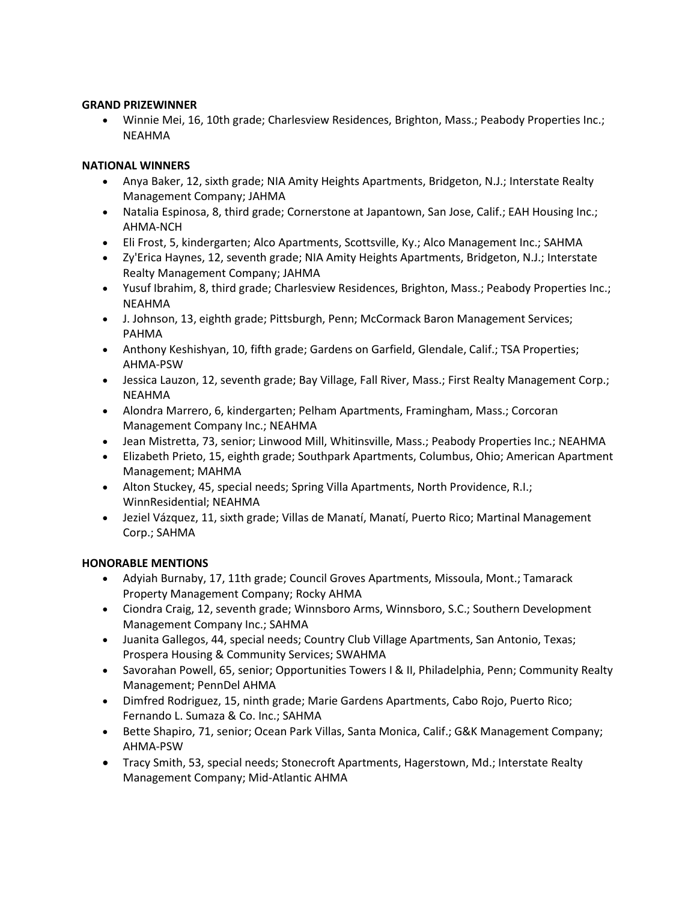## **GRAND PRIZEWINNER**

 Winnie Mei, 16, 10th grade; Charlesview Residences, Brighton, Mass.; Peabody Properties Inc.; NEAHMA

# **NATIONAL WINNERS**

- Anya Baker, 12, sixth grade; NIA Amity Heights Apartments, Bridgeton, N.J.; Interstate Realty Management Company; JAHMA
- Natalia Espinosa, 8, third grade; Cornerstone at Japantown, San Jose, Calif.; EAH Housing Inc.; AHMA-NCH
- Eli Frost, 5, kindergarten; Alco Apartments, Scottsville, Ky.; Alco Management Inc.; SAHMA
- Zy'Erica Haynes, 12, seventh grade; NIA Amity Heights Apartments, Bridgeton, N.J.; Interstate Realty Management Company; JAHMA
- Yusuf Ibrahim, 8, third grade; Charlesview Residences, Brighton, Mass.; Peabody Properties Inc.; NEAHMA
- J. Johnson, 13, eighth grade; Pittsburgh, Penn; McCormack Baron Management Services; PAHMA
- Anthony Keshishyan, 10, fifth grade; Gardens on Garfield, Glendale, Calif.; TSA Properties; AHMA-PSW
- Jessica Lauzon, 12, seventh grade; Bay Village, Fall River, Mass.; First Realty Management Corp.; NEAHMA
- Alondra Marrero, 6, kindergarten; Pelham Apartments, Framingham, Mass.; Corcoran Management Company Inc.; NEAHMA
- Jean Mistretta, 73, senior; Linwood Mill, Whitinsville, Mass.; Peabody Properties Inc.; NEAHMA
- Elizabeth Prieto, 15, eighth grade; Southpark Apartments, Columbus, Ohio; American Apartment Management; MAHMA
- Alton Stuckey, 45, special needs; Spring Villa Apartments, North Providence, R.I.; WinnResidential; NEAHMA
- Jeziel Vázquez, 11, sixth grade; Villas de Manatí, Manatí, Puerto Rico; Martinal Management Corp.; SAHMA

# **HONORABLE MENTIONS**

- Adyiah Burnaby, 17, 11th grade; Council Groves Apartments, Missoula, Mont.; Tamarack Property Management Company; Rocky AHMA
- Ciondra Craig, 12, seventh grade; Winnsboro Arms, Winnsboro, S.C.; Southern Development Management Company Inc.; SAHMA
- Juanita Gallegos, 44, special needs; Country Club Village Apartments, San Antonio, Texas; Prospera Housing & Community Services; SWAHMA
- Savorahan Powell, 65, senior; Opportunities Towers I & II, Philadelphia, Penn; Community Realty Management; PennDel AHMA
- Dimfred Rodriguez, 15, ninth grade; Marie Gardens Apartments, Cabo Rojo, Puerto Rico; Fernando L. Sumaza & Co. Inc.; SAHMA
- Bette Shapiro, 71, senior; Ocean Park Villas, Santa Monica, Calif.; G&K Management Company; AHMA-PSW
- Tracy Smith, 53, special needs; Stonecroft Apartments, Hagerstown, Md.; Interstate Realty Management Company; Mid-Atlantic AHMA